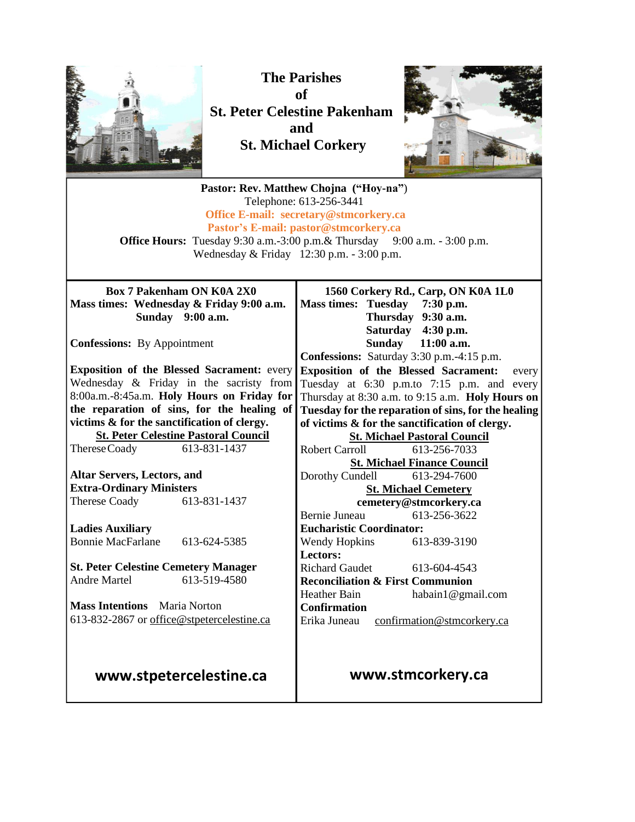

**The Parishes of St. Peter Celestine Pakenham and St. Michael Corkery**



**Pastor: Rev. Matthew Chojna ("Hoy-na"**) Telephone: 613-256-3441 **Office E-mail: secretary@stmcorkery.ca Pastor's E-mail: pastor@stmcorkery.ca Office Hours:** Tuesday 9:30 a.m.-3:00 p.m. & Thursday 9:00 a.m. - 3:00 p.m. Wednesday & Friday 12:30 p.m. - 3:00 p.m. **Box 7 Pakenham ON K0A 2X0 Mass times: Wednesday & Friday 9:00 a.m. Sunday 9:00 a.m. Confessions:** By Appointment **Exposition of the Blessed Sacrament:** every Wednesday & Friday in the sacristy from 8:00a.m.-8:45a.m. **Holy Hours on Friday for the reparation of sins, for the healing of victims & for the sanctification of clergy. St. Peter Celestine Pastoral Council** ThereseCoady 613-831-1437 **Altar Servers, Lectors, and Extra-Ordinary Ministers** Therese Coady 613-831-1437 **Ladies Auxiliary** Bonnie MacFarlane 613-624-5385 **St. Peter Celestine Cemetery Manager** Andre Martel 613-519-4580 **Mass Intentions** Maria Norton 613-832-2867 or [office@stpetercelestine.ca](mailto:office@stpetercelestine.ca) **www.stpetercelestine.ca 1560 Corkery Rd., Carp, ON K0A 1L0 Mass times: Tuesday 7:30 p.m. Thursday 9:30 a.m. Saturday 4:30 p.m. Sunday 11:00 a.m. Confessions:** Saturday 3:30 p.m.-4:15 p.m. **Exposition of the Blessed Sacrament:** every Tuesday at 6:30 p.m.to 7:15 p.m. and every Thursday at 8:30 a.m. to 9:15 a.m. **Holy Hours on Tuesday for the reparation of sins, for the healing of victims & for the sanctification of clergy. St. Michael Pastoral Council** Robert Carroll 613-256-7033 **St. Michael Finance Council** Dorothy Cundell 613-294-7600 **St. Michael Cemetery cemetery@stmcorkery.ca** Bernie Juneau 613-256-3622 **Eucharistic Coordinator:**  Wendy Hopkins 613-839-3190 **Lectors:**  Richard Gaudet [613-604-4543](tel:613-604-4543) **Reconciliation & First Communion**<br>Heather Bain **habain** 1 @gma habain1@gmail.com **Confirmation** Erika Juneau confirmation@stmcorkery.ca **www.stmcorkery.ca**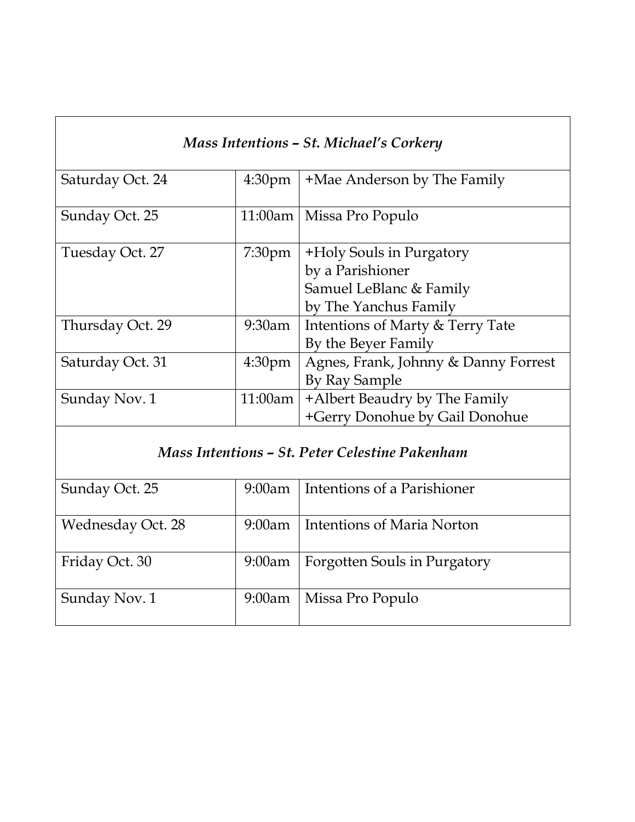| Mass Intentions - St. Michael's Corkery        |                    |                                                                                                  |
|------------------------------------------------|--------------------|--------------------------------------------------------------------------------------------------|
| Saturday Oct. 24                               | 4:30 <sub>pm</sub> | +Mae Anderson by The Family                                                                      |
| Sunday Oct. 25                                 | 11:00am            | Missa Pro Populo                                                                                 |
| Tuesday Oct. 27                                | 7:30 <sub>pm</sub> | +Holy Souls in Purgatory<br>by a Parishioner<br>Samuel LeBlanc & Family<br>by The Yanchus Family |
| Thursday Oct. 29                               | 9:30am             | Intentions of Marty & Terry Tate<br>By the Beyer Family                                          |
| Saturday Oct. 31                               | 4:30 <sub>pm</sub> | Agnes, Frank, Johnny & Danny Forrest<br>By Ray Sample                                            |
| Sunday Nov. 1                                  | 11:00am            | +Albert Beaudry by The Family<br>+Gerry Donohue by Gail Donohue                                  |
| Mass Intentions - St. Peter Celestine Pakenham |                    |                                                                                                  |
| Sunday Oct. 25                                 | $9:00$ am          | Intentions of a Parishioner                                                                      |
| <b>Wednesday Oct. 28</b>                       | $9:00$ am          | <b>Intentions of Maria Norton</b>                                                                |
| Friday Oct. 30                                 | 9:00am             | Forgotten Souls in Purgatory                                                                     |
| Sunday Nov. 1                                  | $9:00$ am          | Missa Pro Populo                                                                                 |